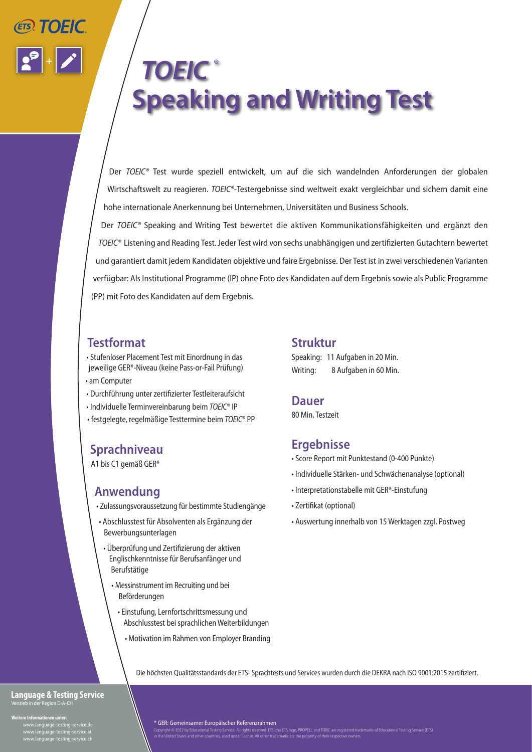

# *TOEIC ®* **Speaking and Writing Test**

Der *TOEIC®* Test wurde speziell entwickelt, um auf die sich wandelnden Anforderungen der globalen Wirtschaftswelt zu reagieren. *TOEIC®-*Testergebnisse sind weltweit exakt vergleichbar und sichern damit eine hohe internationale Anerkennung bei Unternehmen, Universitäten und Business Schools.

Der *TOEIC®* Speaking and Writing Test bewertet die aktiven Kommunikationsfähigkeiten und ergänzt den *TOEIC®* Listening and Reading Test.Jeder Test wird von sechs unabhängigen und zertifizierten Gutachtern bewertet und garantiert damit jedem Kandidaten objektive und faire Ergebnisse. Der Test ist in zwei verschiedenen Varianten verfügbar: Als Institutional Programme (IP) ohne Foto des Kandidaten auf dem Ergebnis sowie als Public Programme (PP) mit Foto des Kandidaten auf dem Ergebnis.

### **Testformat**

- Stufenloser Placement Test mit Einordnung in das jeweilige GER\*-Niveau (keine Pass-or-Fail Prüfung) • am Computer
- Durchführung unter zertifizierter Testleiteraufsicht
- Individuelle Terminvereinbarung beim *TOEIC*® IP
- festgelegte, regelmäßige Testtermine beim *TOEIC*® PP

## **Sprachniveau**

A1 bis C1 gemäß GER\*

## **Anwendung**

- Zulassungsvoraussetzung für bestimmte Studiengänge
- Abschlusstest für Absolventen als Ergänzung der Bewerbungsunterlagen
- Überprüfung und Zertifizierung der aktiven Englischkenntnisse für Berufsanfänger und Berufstätige
	- Messinstrument im Recruiting und bei Beförderungen
		- Einstufung, Lernfortschrittsmessung und Abschlusstest bei sprachlichen Weiterbildungen
			- Motivation im Rahmen von Employer Branding

### **Struktur**

Speaking: 11 Aufgaben in 20 Min. Writing: 8 Aufgaben in 60 Min.

### **Dauer**

80 Min. Testzeit

## **Ergebnisse**

- Score Report mit Punktestand (0-400 Punkte)
- Individuelle Stärken- und Schwächenanalyse (optional)
- Interpretationstabelle mit GER\*-Einstufung
- Zertifikat (optional)
- Auswertung innerhalb von 15 Werktagen zzgl. Postweg

Die höchsten Qualitätsstandards der ETS- Sprachtests und Services wurden durch die DEKRA nach ISO 9001:2015 zertifiziert.

#### **Language & Testing Service** Vertrieb in der Region D-A-CH

**Informationen unter:**<br>Weitergungen testing s www.language-testing-service.de www.language-testing-service.at www.language-testing-service.at<br>www.language-testing-service.ch

\* GER: Gemeinsamer Europäischer Referenzrahmen

Copyright © 2022 by Educational Testing Service. All rights reserved. ETS, the ETS logo, PROPELL and TOEIC are registered trademarks of Educational Testing Service (ETS)<br>in the United States and other countries, used under